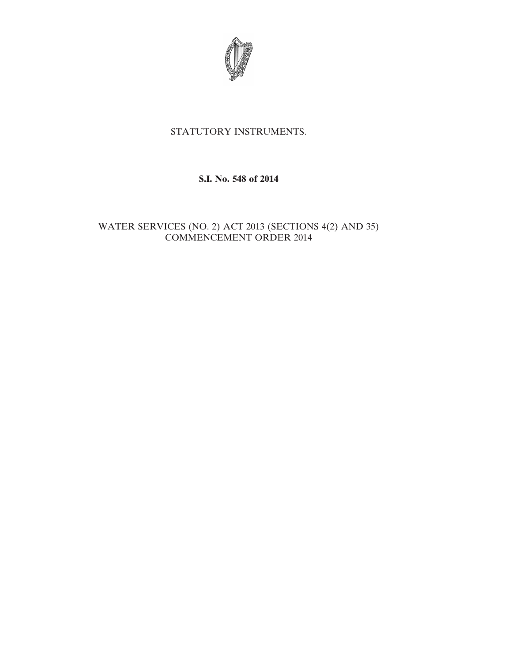

# STATUTORY INSTRUMENTS.

### **S.I. No. 548 of 2014**

## WATER SERVICES (NO. 2) ACT 2013 (SECTIONS 4(2) AND 35) COMMENCEMENT ORDER 2014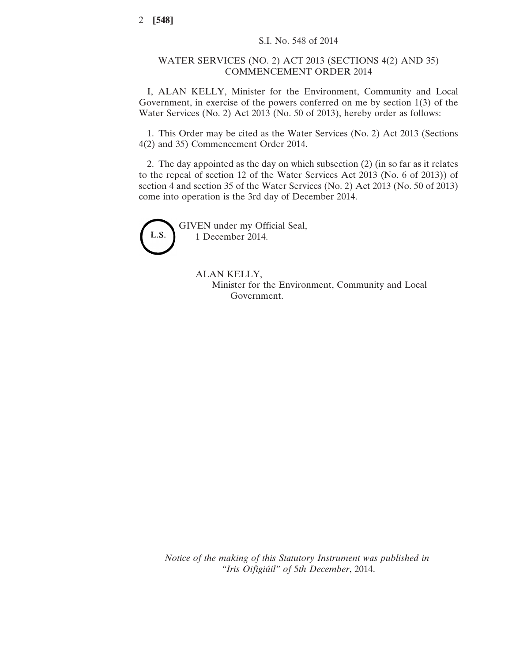#### WATER SERVICES (NO. 2) ACT 2013 (SECTIONS 4(2) AND 35) COMMENCEMENT ORDER 2014

I, ALAN KELLY, Minister for the Environment, Community and Local Government, in exercise of the powers conferred on me by section 1(3) of the Water Services (No. 2) Act 2013 (No. 50 of 2013), hereby order as follows:

1. This Order may be cited as the Water Services (No. 2) Act 2013 (Sections 4(2) and 35) Commencement Order 2014.

2. The day appointed as the day on which subsection (2) (in so far as it relates to the repeal of section 12 of the Water Services Act 2013 (No. 6 of 2013)) of section 4 and section 35 of the Water Services (No. 2) Act 2013 (No. 50 of 2013) come into operation is the 3rd day of December 2014.



GIVEN under my Official Seal, 1 December 2014.

> ALAN KELLY, Minister for the Environment, Community and Local Government.

*Notice of the making of this Statutory Instrument was published in "Iris Oifigiúil" of* 5*th December*, 2014.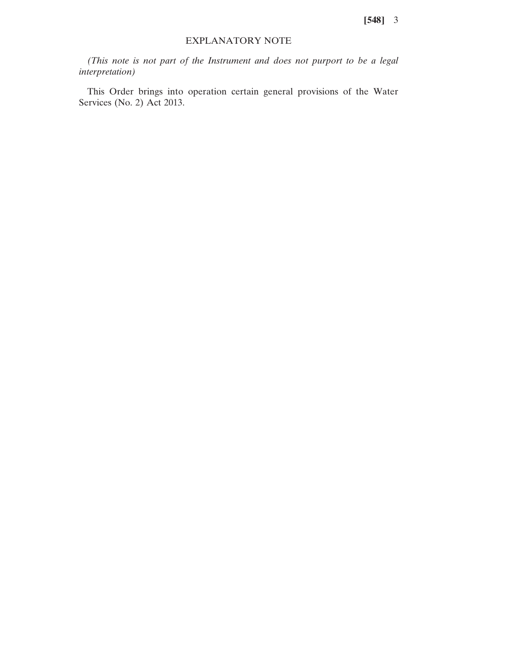**[548]** 3

#### EXPLANATORY NOTE

*(This note is not part of the Instrument and does not purport to be a legal interpretation)*

This Order brings into operation certain general provisions of the Water Services (No. 2) Act 2013.